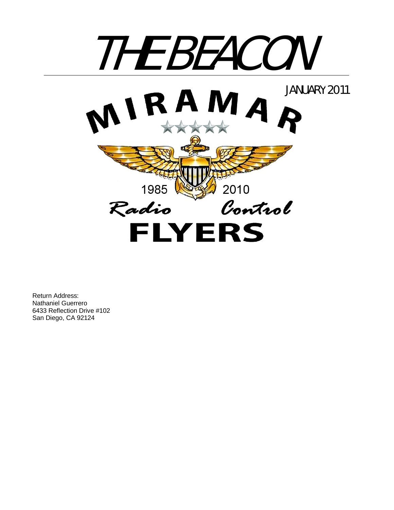

Return Address: Nathaniel Guerrero 6433 Reflection Drive #102 San Diego, CA 92124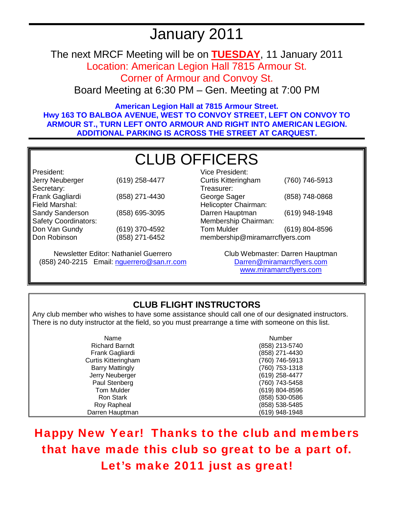## January 2011

The next MRCF Meeting will be on **TUESDAY**, 11 January 2011

Location: American Legion Hall 7815 Armour St.

Corner of Armour and Convoy St.

Board Meeting at 6:30 PM – Gen. Meeting at 7:00 PM

**American Legion Hall at 7815 Armour Street. Hwy 163 TO BALBOA AVENUE, WEST TO CONVOY STREET, LEFT ON CONVOY TO** 

**ARMOUR ST., TURN LEFT ONTO ARMOUR AND RIGHT INTO AMERICAN LEGION. ADDITIONAL PARKING IS ACROSS THE STREET AT CARQUEST.** 

# CLUB OFFICERS

President: Jerry Neuberger (619) 258-4477 Secretary: Frank Gagliardi (858) 271-4430 Field Marshal: Sandy Sanderson (858) 695-3095 Safety Coordinators: Don Van Gundy Don Robinson (619) 370-4592 (858) 271-6452

Newsletter Editor: Nathaniel Guerrero (858) 240-2215 Email: nguerrero@san.rr.com

| Vice President:                |                  |  |
|--------------------------------|------------------|--|
| <b>Curtis Kitteringham</b>     | (760) 746-5913   |  |
| Treasurer:                     |                  |  |
| George Sager                   | (858) 748-0868   |  |
| Helicopter Chairman:           |                  |  |
| Darren Hauptman                | (619) 948-1948   |  |
| Membership Chairman:           |                  |  |
| <b>Tom Mulder</b>              | $(619)$ 804-8596 |  |
| membership@miramarrcflyers.com |                  |  |

Club Webmaster: Darren Hauptman Darren@miramarrcflyers.com www.miramarrcflyers.com

## **CLUB FLIGHT INSTRUCTORS**

Any club member who wishes to have some assistance should call one of our designated instructors. There is no duty instructor at the field, so you must prearrange a time with someone on this list.

| Name                   | Number         |
|------------------------|----------------|
| <b>Richard Barndt</b>  | (858) 213-5740 |
| Frank Gagliardi        | (858) 271-4430 |
| Curtis Kitteringham    | (760) 746-5913 |
| <b>Barry Mattingly</b> | (760) 753-1318 |
| Jerry Neuberger        | (619) 258-4477 |
| Paul Stenberg          | (760) 743-5458 |
| <b>Tom Mulder</b>      | (619) 804-8596 |
| Ron Stark              | (858) 530-0586 |
| Roy Rapheal            | (858) 538-5485 |
| Darren Hauptman        | (619) 948-1948 |

Happy New Year! Thanks to the club and members that have made this club so great to be a part of. Let's make 2011 just as great!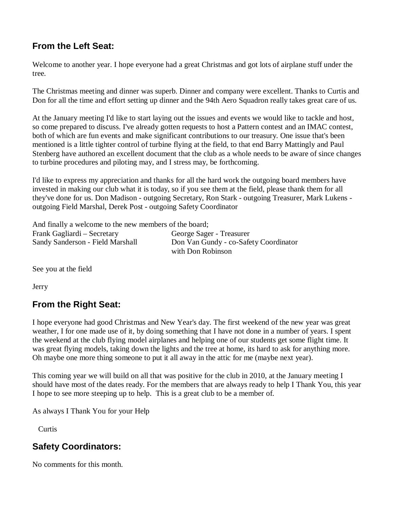#### **From the Left Seat:**

Welcome to another year. I hope everyone had a great Christmas and got lots of airplane stuff under the tree.

The Christmas meeting and dinner was superb. Dinner and company were excellent. Thanks to Curtis and Don for all the time and effort setting up dinner and the 94th Aero Squadron really takes great care of us.

At the January meeting I'd like to start laying out the issues and events we would like to tackle and host, so come prepared to discuss. I've already gotten requests to host a Pattern contest and an IMAC contest, both of which are fun events and make significant contributions to our treasury. One issue that's been mentioned is a little tighter control of turbine flying at the field, to that end Barry Mattingly and Paul Stenberg have authored an excellent document that the club as a whole needs to be aware of since changes to turbine procedures and piloting may, and I stress may, be forthcoming.

I'd like to express my appreciation and thanks for all the hard work the outgoing board members have invested in making our club what it is today, so if you see them at the field, please thank them for all they've done for us. Don Madison - outgoing Secretary, Ron Stark - outgoing Treasurer, Mark Lukens outgoing Field Marshal, Derek Post - outgoing Safety Coordinator

And finally a welcome to the new members of the board;

| Frank Gagliardi – Secretary      | George Sager - Treasurer              |
|----------------------------------|---------------------------------------|
| Sandy Sanderson - Field Marshall | Don Van Gundy - co-Safety Coordinator |
|                                  | with Don Robinson                     |

See you at the field

Jerry

### **From the Right Seat:**

I hope everyone had good Christmas and New Year's day. The first weekend of the new year was great weather, I for one made use of it, by doing something that I have not done in a number of years. I spent the weekend at the club flying model airplanes and helping one of our students get some flight time. It was great flying models, taking down the lights and the tree at home, its hard to ask for anything more. Oh maybe one more thing someone to put it all away in the attic for me (maybe next year).

This coming year we will build on all that was positive for the club in 2010, at the January meeting I should have most of the dates ready. For the members that are always ready to help I Thank You, this year I hope to see more steeping up to help. This is a great club to be a member of.

As always I Thank You for your Help

**Curtis** 

### **Safety Coordinators:**

No comments for this month.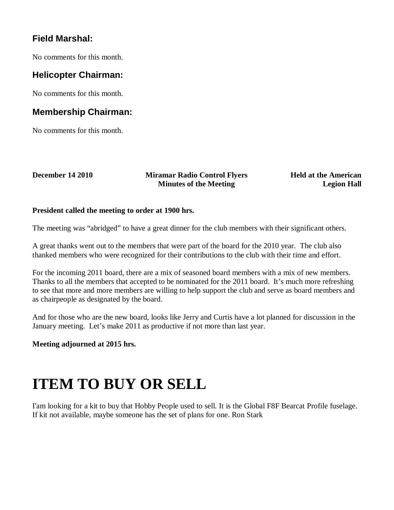### **Field Marshal:**

No comments for this month.

#### **Helicopter Chairman:**

No comments for this month.

#### **Membership Chairman:**

No comments for this month.

**December 14 2010 Miramar Radio Control Flyers Minutes of the Meeting** 

**Held at the American Legion Hall**

#### **President called the meeting to order at 1900 hrs.**

The meeting was "abridged" to have a great dinner for the club members with their significant others.

A great thanks went out to the members that were part of the board for the 2010 year. The club also thanked members who were recognized for their contributions to the club with their time and effort.

For the incoming 2011 board, there are a mix of seasoned board members with a mix of new members. Thanks to all the members that accepted to be nominated for the 2011 board. It's much more refreshing to see that more and more members are willing to help support the club and serve as board members and as chairpeople as designated by the board.

And for those who are the new board, looks like Jerry and Curtis have a lot planned for discussion in the January meeting. Let's make 2011 as productive if not more than last year.

#### **Meeting adjourned at 2015 hrs.**

# **ITEM TO BUY OR SELL**

I'am looking for a kit to buy that Hobby People used to sell. It is the Global F8F Bearcat Profile fuselage. If kit not available, maybe someone has the set of plans for one. Ron Stark